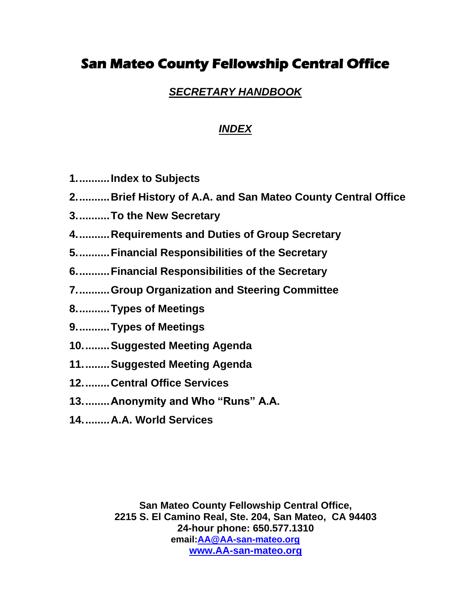# **San Mateo County Fellowship Central Office**

## *SECRETARY HANDBOOK*

## *INDEX*

- **1...........Index to Subjects**
- **2...........Brief History of A.A. and San Mateo County Central Office**
- **3...........To the New Secretary**
- **4...........Requirements and Duties of Group Secretary**
- **5...........Financial Responsibilities of the Secretary**
- **6...........Financial Responsibilities of the Secretary**
- **7...........Group Organization and Steering Committee**
- **8...........Types of Meetings**
- **9...........Types of Meetings**
- **10.........Suggested Meeting Agenda**
- **11.........Suggested Meeting Agenda**
- **12.........Central Office Services**
- **13.........Anonymity and Who "Runs" A.A.**
- **14.........A.A. World Services**

**San Mateo County Fellowship Central Office, 2215 S. El Camino Real, Ste. 204, San Mateo, CA 94403 24-hour phone: 650.577.1310 email[:AA@AA-san-mateo.org](mailto:AA@AA-san-mateo.org) [www.AA-san-mateo.org](http://www.aa-san-mateo.org/)**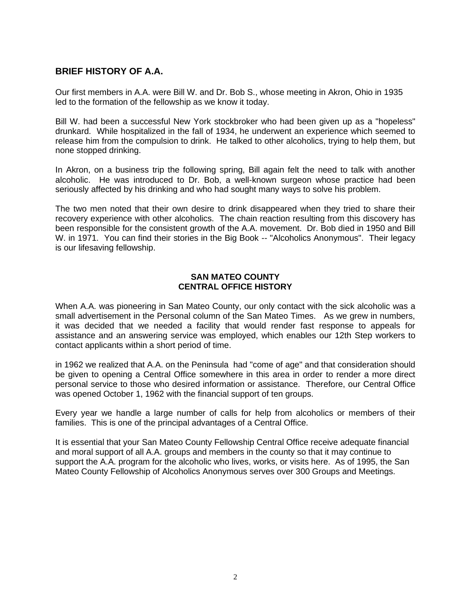### **BRIEF HISTORY OF A.A.**

Our first members in A.A. were Bill W. and Dr. Bob S., whose meeting in Akron, Ohio in 1935 led to the formation of the fellowship as we know it today.

Bill W. had been a successful New York stockbroker who had been given up as a "hopeless" drunkard. While hospitalized in the fall of 1934, he underwent an experience which seemed to release him from the compulsion to drink. He talked to other alcoholics, trying to help them, but none stopped drinking.

In Akron, on a business trip the following spring, Bill again felt the need to talk with another alcoholic. He was introduced to Dr. Bob, a well-known surgeon whose practice had been seriously affected by his drinking and who had sought many ways to solve his problem.

The two men noted that their own desire to drink disappeared when they tried to share their recovery experience with other alcoholics. The chain reaction resulting from this discovery has been responsible for the consistent growth of the A.A. movement. Dr. Bob died in 1950 and Bill W. in 1971. You can find their stories in the Big Book -- "Alcoholics Anonymous". Their legacy is our lifesaving fellowship.

#### **SAN MATEO COUNTY CENTRAL OFFICE HISTORY**

When A.A. was pioneering in San Mateo County, our only contact with the sick alcoholic was a small advertisement in the Personal column of the San Mateo Times. As we grew in numbers, it was decided that we needed a facility that would render fast response to appeals for assistance and an answering service was employed, which enables our 12th Step workers to contact applicants within a short period of time.

in 1962 we realized that A.A. on the Peninsula had "come of age" and that consideration should be given to opening a Central Office somewhere in this area in order to render a more direct personal service to those who desired information or assistance. Therefore, our Central Office was opened October 1, 1962 with the financial support of ten groups.

Every year we handle a large number of calls for help from alcoholics or members of their families. This is one of the principal advantages of a Central Office.

It is essential that your San Mateo County Fellowship Central Office receive adequate financial and moral support of all A.A. groups and members in the county so that it may continue to support the A.A. program for the alcoholic who lives, works, or visits here. As of 1995, the San Mateo County Fellowship of Alcoholics Anonymous serves over 300 Groups and Meetings.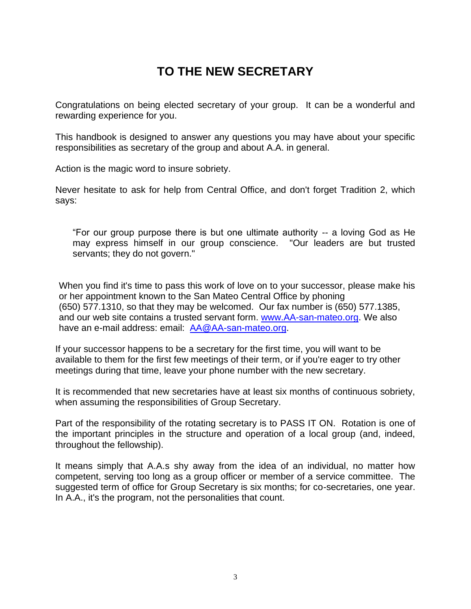# **TO THE NEW SECRETARY**

Congratulations on being elected secretary of your group. It can be a wonderful and rewarding experience for you.

This handbook is designed to answer any questions you may have about your specific responsibilities as secretary of the group and about A.A. in general.

Action is the magic word to insure sobriety.

Never hesitate to ask for help from Central Office, and don't forget Tradition 2, which says:

"For our group purpose there is but one ultimate authority -- a loving God as He may express himself in our group conscience. "Our leaders are but trusted servants; they do not govern."

When you find it's time to pass this work of love on to your successor, please make his or her appointment known to the San Mateo Central Office by phoning (650) 577.1310, so that they may be welcomed. Our fax number is (650) 577.1385, and our web site contains a trusted servant form. [www.AA-san-mateo.org.](http://www.aa-san-mateo.org/) We also have an e-mail address: email: [AA@AA-san-mateo.org.](mailto:AAsanmateo@AA-san-mateo.org)

If your successor happens to be a secretary for the first time, you will want to be available to them for the first few meetings of their term, or if you're eager to try other meetings during that time, leave your phone number with the new secretary.

It is recommended that new secretaries have at least six months of continuous sobriety, when assuming the responsibilities of Group Secretary.

Part of the responsibility of the rotating secretary is to PASS IT ON. Rotation is one of the important principles in the structure and operation of a local group (and, indeed, throughout the fellowship).

It means simply that A.A.s shy away from the idea of an individual, no matter how competent, serving too long as a group officer or member of a service committee. The suggested term of office for Group Secretary is six months; for co-secretaries, one year. In A.A., it's the program, not the personalities that count.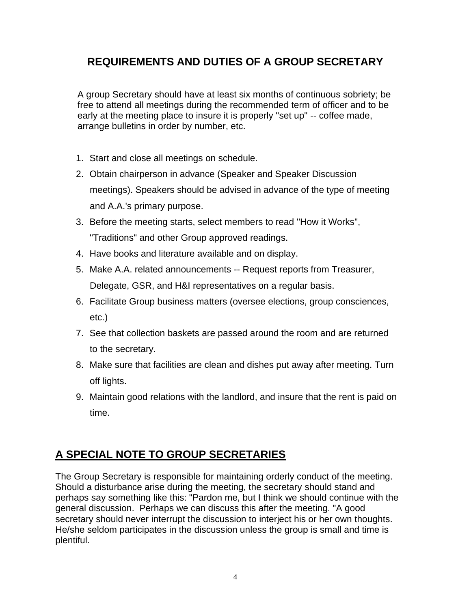## **REQUIREMENTS AND DUTIES OF A GROUP SECRETARY**

A group Secretary should have at least six months of continuous sobriety; be free to attend all meetings during the recommended term of officer and to be early at the meeting place to insure it is properly "set up" -- coffee made, arrange bulletins in order by number, etc.

- 1. Start and close all meetings on schedule.
- 2. Obtain chairperson in advance (Speaker and Speaker Discussion meetings). Speakers should be advised in advance of the type of meeting and A.A.'s primary purpose.
- 3. Before the meeting starts, select members to read "How it Works", "Traditions" and other Group approved readings.
- 4. Have books and literature available and on display.
- 5. Make A.A. related announcements -- Request reports from Treasurer, Delegate, GSR, and H&I representatives on a regular basis.
- 6. Facilitate Group business matters (oversee elections, group consciences, etc.)
- 7. See that collection baskets are passed around the room and are returned to the secretary.
- 8. Make sure that facilities are clean and dishes put away after meeting. Turn off lights.
- 9. Maintain good relations with the landlord, and insure that the rent is paid on time.

# **A SPECIAL NOTE TO GROUP SECRETARIES**

The Group Secretary is responsible for maintaining orderly conduct of the meeting. Should a disturbance arise during the meeting, the secretary should stand and perhaps say something like this: "Pardon me, but I think we should continue with the general discussion. Perhaps we can discuss this after the meeting. "A good secretary should never interrupt the discussion to interject his or her own thoughts. He/she seldom participates in the discussion unless the group is small and time is plentiful.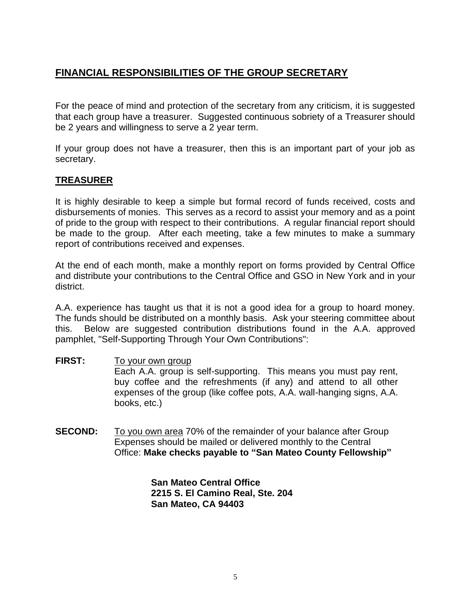## **FINANCIAL RESPONSIBILITIES OF THE GROUP SECRETARY**

For the peace of mind and protection of the secretary from any criticism, it is suggested that each group have a treasurer. Suggested continuous sobriety of a Treasurer should be 2 years and willingness to serve a 2 year term.

If your group does not have a treasurer, then this is an important part of your job as secretary.

### **TREASURER**

It is highly desirable to keep a simple but formal record of funds received, costs and disbursements of monies. This serves as a record to assist your memory and as a point of pride to the group with respect to their contributions. A regular financial report should be made to the group. After each meeting, take a few minutes to make a summary report of contributions received and expenses.

At the end of each month, make a monthly report on forms provided by Central Office and distribute your contributions to the Central Office and GSO in New York and in your district.

A.A. experience has taught us that it is not a good idea for a group to hoard money. The funds should be distributed on a monthly basis. Ask your steering committee about this. Below are suggested contribution distributions found in the A.A. approved pamphlet, "Self-Supporting Through Your Own Contributions":

- **FIRST:** To your own group Each A.A. group is self-supporting. This means you must pay rent, buy coffee and the refreshments (if any) and attend to all other expenses of the group (like coffee pots, A.A. wall-hanging signs, A.A. books, etc.)
- **SECOND:** To you own area 70% of the remainder of your balance after Group Expenses should be mailed or delivered monthly to the Central Office: **Make checks payable to "San Mateo County Fellowship"**

**San Mateo Central Office 2215 S. El Camino Real, Ste. 204 San Mateo, CA 94403**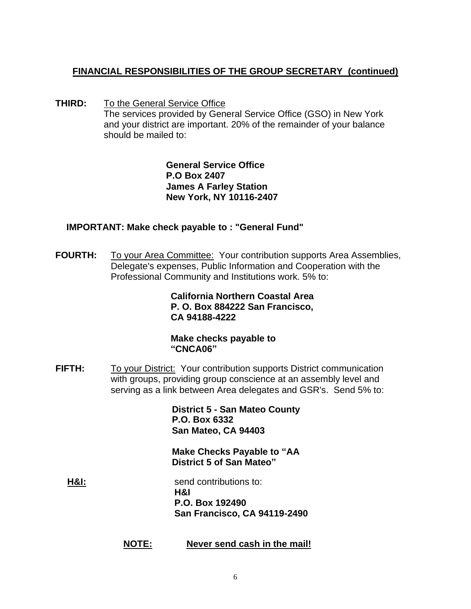## **FINANCIAL RESPONSIBILITIES OF THE GROUP SECRETARY (continued)**

**THIRD:** To the General Service Office The services provided by General Service Office (GSO) in New York and your district are important. 20% of the remainder of your balance should be mailed to:

> **General Service Office P.O Box 2407 James A Farley Station New York, NY 10116-2407**

### **IMPORTANT: Make check payable to : "General Fund"**

**FOURTH:** To your Area Committee: Your contribution supports Area Assemblies, Delegate's expenses, Public Information and Cooperation with the Professional Community and Institutions work. 5% to:

> **California Northern Coastal Area P. O. Box 884222 San Francisco, CA 94188-4222**

**Make checks payable to "CNCA06"**

**FIFTH:** To your District: Your contribution supports District communication with groups, providing group conscience at an assembly level and serving as a link between Area delegates and GSR's. Send 5% to:

> **District 5 - San Mateo County P.O. Box 6332 San Mateo, CA 94403**

> **Make Checks Payable to "AA District 5 of San Mateo"**

**H&I:** Send contributions to: **H&I P.O. Box 192490 San Francisco, CA 94119-2490**

**NOTE: Never send cash in the mail!**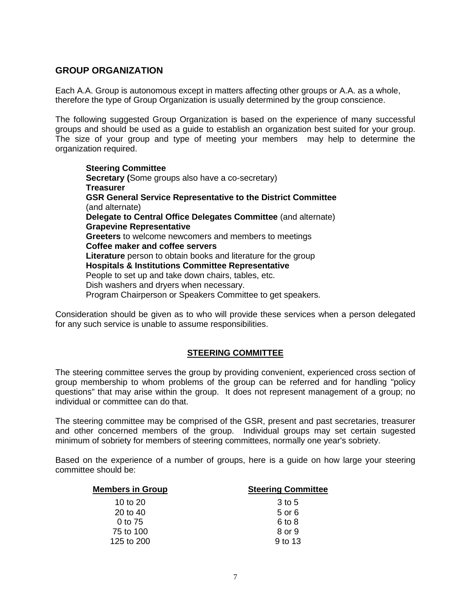#### **GROUP ORGANIZATION**

Each A.A. Group is autonomous except in matters affecting other groups or A.A. as a whole, therefore the type of Group Organization is usually determined by the group conscience.

The following suggested Group Organization is based on the experience of many successful groups and should be used as a guide to establish an organization best suited for your group. The size of your group and type of meeting your members may help to determine the organization required.

**Steering Committee Secretary (**Some groups also have a co-secretary) **Treasurer GSR General Service Representative to the District Committee**  (and alternate) **Delegate to Central Office Delegates Committee** (and alternate) **Grapevine Representative Greeters** to welcome newcomers and members to meetings **Coffee maker and coffee servers Literature** person to obtain books and literature for the group **Hospitals & Institutions Committee Representative** People to set up and take down chairs, tables, etc. Dish washers and dryers when necessary. Program Chairperson or Speakers Committee to get speakers.

Consideration should be given as to who will provide these services when a person delegated for any such service is unable to assume responsibilities.

#### **STEERING COMMITTEE**

The steering committee serves the group by providing convenient, experienced cross section of group membership to whom problems of the group can be referred and for handling "policy questions" that may arise within the group. It does not represent management of a group; no individual or committee can do that.

The steering committee may be comprised of the GSR, present and past secretaries, treasurer and other concerned members of the group. Individual groups may set certain sugested minimum of sobriety for members of steering committees, normally one year's sobriety.

Based on the experience of a number of groups, here is a guide on how large your steering committee should be:

| <b>Members in Group</b> | <b>Steering Committee</b> |
|-------------------------|---------------------------|
| 10 to 20                | 3 to 5                    |
| 20 to 40                | 5 or 6                    |
| 0 to 75                 | 6 to 8                    |
| 75 to 100               | 8 or 9                    |
| 125 to 200              | 9 to 13                   |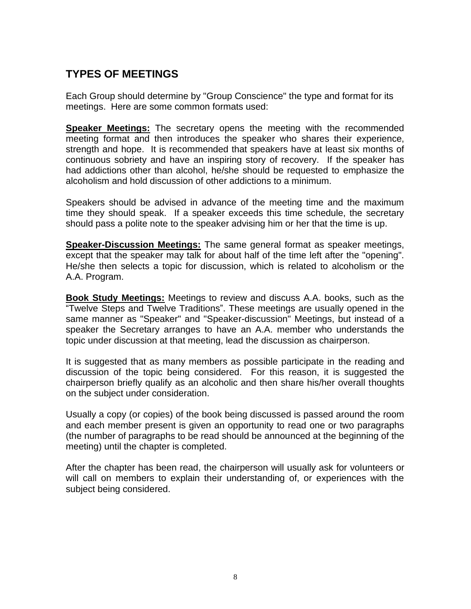## **TYPES OF MEETINGS**

Each Group should determine by "Group Conscience" the type and format for its meetings. Here are some common formats used:

**Speaker Meetings:** The secretary opens the meeting with the recommended meeting format and then introduces the speaker who shares their experience, strength and hope. It is recommended that speakers have at least six months of continuous sobriety and have an inspiring story of recovery. If the speaker has had addictions other than alcohol, he/she should be requested to emphasize the alcoholism and hold discussion of other addictions to a minimum.

Speakers should be advised in advance of the meeting time and the maximum time they should speak. If a speaker exceeds this time schedule, the secretary should pass a polite note to the speaker advising him or her that the time is up.

**Speaker-Discussion Meetings:** The same general format as speaker meetings, except that the speaker may talk for about half of the time left after the "opening". He/she then selects a topic for discussion, which is related to alcoholism or the A.A. Program.

**Book Study Meetings:** Meetings to review and discuss A.A. books, such as the "Twelve Steps and Twelve Traditions". These meetings are usually opened in the same manner as "Speaker" and "Speaker-discussion" Meetings, but instead of a speaker the Secretary arranges to have an A.A. member who understands the topic under discussion at that meeting, lead the discussion as chairperson.

It is suggested that as many members as possible participate in the reading and discussion of the topic being considered. For this reason, it is suggested the chairperson briefly qualify as an alcoholic and then share his/her overall thoughts on the subject under consideration.

Usually a copy (or copies) of the book being discussed is passed around the room and each member present is given an opportunity to read one or two paragraphs (the number of paragraphs to be read should be announced at the beginning of the meeting) until the chapter is completed.

After the chapter has been read, the chairperson will usually ask for volunteers or will call on members to explain their understanding of, or experiences with the subject being considered.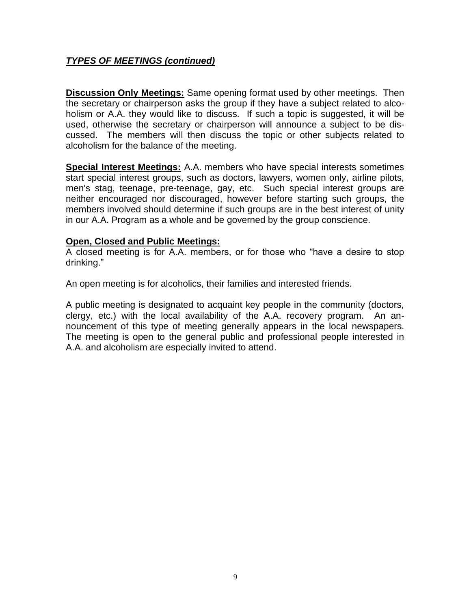### *TYPES OF MEETINGS (continued)*

**Discussion Only Meetings:** Same opening format used by other meetings. Then the secretary or chairperson asks the group if they have a subject related to alcoholism or A.A. they would like to discuss. If such a topic is suggested, it will be used, otherwise the secretary or chairperson will announce a subject to be discussed. The members will then discuss the topic or other subjects related to alcoholism for the balance of the meeting.

**Special Interest Meetings:** A.A. members who have special interests sometimes start special interest groups, such as doctors, lawyers, women only, airline pilots, men's stag, teenage, pre-teenage, gay, etc. Such special interest groups are neither encouraged nor discouraged, however before starting such groups, the members involved should determine if such groups are in the best interest of unity in our A.A. Program as a whole and be governed by the group conscience.

### **Open, Closed and Public Meetings:**

A closed meeting is for A.A. members, or for those who "have a desire to stop drinking."

An open meeting is for alcoholics, their families and interested friends.

A public meeting is designated to acquaint key people in the community (doctors, clergy, etc.) with the local availability of the A.A. recovery program. An announcement of this type of meeting generally appears in the local newspapers. The meeting is open to the general public and professional people interested in A.A. and alcoholism are especially invited to attend.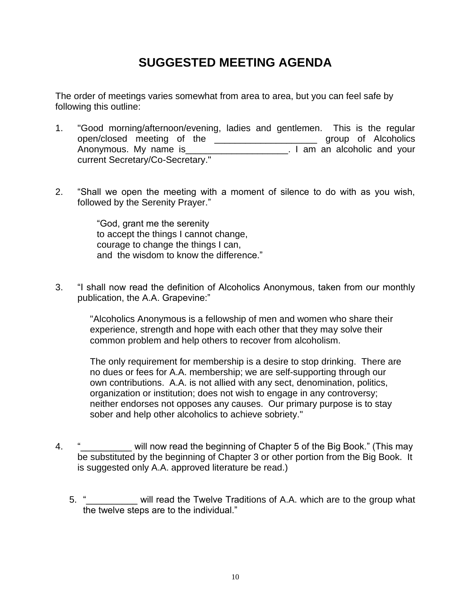# **SUGGESTED MEETING AGENDA**

The order of meetings varies somewhat from area to area, but you can feel safe by following this outline:

- 1. "Good morning/afternoon/evening, ladies and gentlemen. This is the regular open/closed meeting of the \_\_\_\_\_\_\_\_\_\_\_\_\_\_\_\_\_\_\_\_ group of Alcoholics Anonymous. My name is example that is the same in the set of and your set of and your current Secretary/Co-Secretary."
- 2. "Shall we open the meeting with a moment of silence to do with as you wish, followed by the Serenity Prayer."

"God, grant me the serenity to accept the things I cannot change, courage to change the things I can, and the wisdom to know the difference."

3. "I shall now read the definition of Alcoholics Anonymous, taken from our monthly publication, the A.A. Grapevine:"

"Alcoholics Anonymous is a fellowship of men and women who share their experience, strength and hope with each other that they may solve their common problem and help others to recover from alcoholism.

The only requirement for membership is a desire to stop drinking. There are no dues or fees for A.A. membership; we are self-supporting through our own contributions. A.A. is not allied with any sect, denomination, politics, organization or institution; does not wish to engage in any controversy; neither endorses not opposes any causes. Our primary purpose is to stay sober and help other alcoholics to achieve sobriety."

- 4. " will now read the beginning of Chapter 5 of the Big Book." (This may be substituted by the beginning of Chapter 3 or other portion from the Big Book. It is suggested only A.A. approved literature be read.)
	- 5. "\_\_\_\_\_\_\_\_ will read the Twelve Traditions of A.A. which are to the group what the twelve steps are to the individual."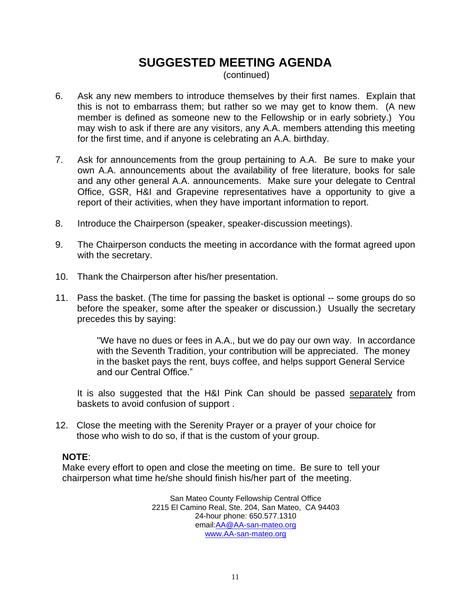# **SUGGESTED MEETING AGENDA**

(continued)

- 6. Ask any new members to introduce themselves by their first names. Explain that this is not to embarrass them; but rather so we may get to know them. (A new member is defined as someone new to the Fellowship or in early sobriety.) You may wish to ask if there are any visitors, any A.A. members attending this meeting for the first time, and if anyone is celebrating an A.A. birthday.
- 7. Ask for announcements from the group pertaining to A.A. Be sure to make your own A.A. announcements about the availability of free literature, books for sale and any other general A.A. announcements. Make sure your delegate to Central Office, GSR, H&I and Grapevine representatives have a opportunity to give a report of their activities, when they have important information to report.
- 8. Introduce the Chairperson (speaker, speaker-discussion meetings).
- 9. The Chairperson conducts the meeting in accordance with the format agreed upon with the secretary.
- 10. Thank the Chairperson after his/her presentation.
- 11. Pass the basket. (The time for passing the basket is optional -- some groups do so before the speaker, some after the speaker or discussion.) Usually the secretary precedes this by saying:

"We have no dues or fees in A.A., but we do pay our own way. In accordance with the Seventh Tradition, your contribution will be appreciated. The money in the basket pays the rent, buys coffee, and helps support General Service and our Central Office."

It is also suggested that the H&I Pink Can should be passed separately from baskets to avoid confusion of support .

12. Close the meeting with the Serenity Prayer or a prayer of your choice for those who wish to do so, if that is the custom of your group.

### **NOTE**:

Make every effort to open and close the meeting on time. Be sure to tell your chairperson what time he/she should finish his/her part of the meeting.

> San Mateo County Fellowship Central Office 2215 El Camino Real, Ste. 204, San Mateo, CA 94403 24-hour phone: 650.577.1310 email[:AA@AA-san-mateo.org](mailto:AA@AA-san-mateo.org) [www.AA-san-mateo.org](http://www.aa-san-mateo.org/)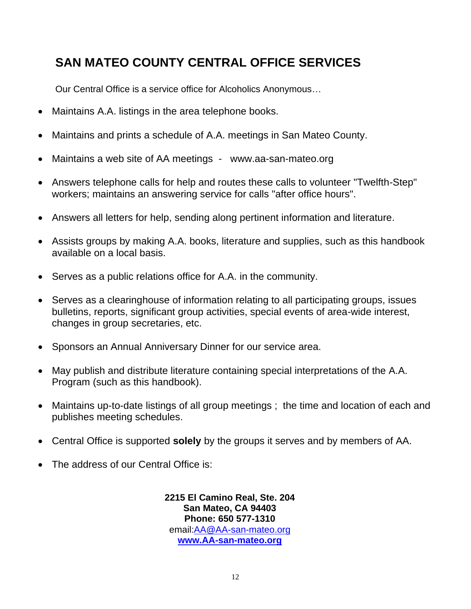# **SAN MATEO COUNTY CENTRAL OFFICE SERVICES**

Our Central Office is a service office for Alcoholics Anonymous…

- Maintains A.A. listings in the area telephone books.
- Maintains and prints a schedule of A.A. meetings in San Mateo County.
- Maintains a web site of AA meetings www.aa-san-mateo.org
- Answers telephone calls for help and routes these calls to volunteer "Twelfth-Step" workers; maintains an answering service for calls "after office hours".
- Answers all letters for help, sending along pertinent information and literature.
- Assists groups by making A.A. books, literature and supplies, such as this handbook available on a local basis.
- Serves as a public relations office for A.A. in the community.
- Serves as a clearinghouse of information relating to all participating groups, issues bulletins, reports, significant group activities, special events of area-wide interest, changes in group secretaries, etc.
- Sponsors an Annual Anniversary Dinner for our service area.
- May publish and distribute literature containing special interpretations of the A.A. Program (such as this handbook).
- Maintains up-to-date listings of all group meetings ; the time and location of each and publishes meeting schedules.
- Central Office is supported **solely** by the groups it serves and by members of AA.
- The address of our Central Office is:

**2215 El Camino Real, Ste. 204 San Mateo, CA 94403 Phone: 650 577-1310** email[:AA@AA-san-mateo.org](mailto:AA@AA-san-mateo.org) **[www.AA-san-mateo.org](http://www.aa-san-mateo.org/)**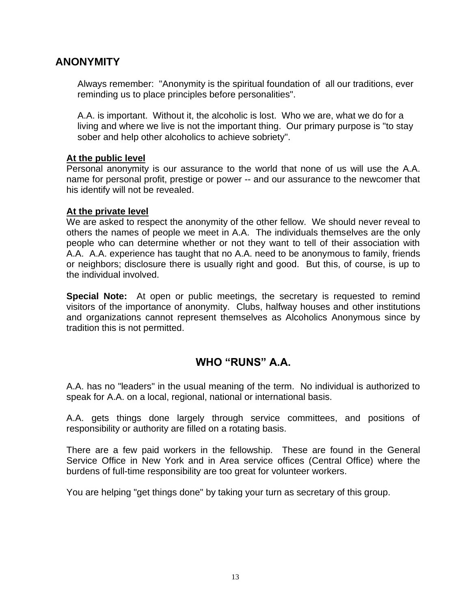## **ANONYMITY**

Always remember: "Anonymity is the spiritual foundation of all our traditions, ever reminding us to place principles before personalities".

A.A. is important. Without it, the alcoholic is lost. Who we are, what we do for a living and where we live is not the important thing. Our primary purpose is "to stay sober and help other alcoholics to achieve sobriety".

### **At the public level**

Personal anonymity is our assurance to the world that none of us will use the A.A. name for personal profit, prestige or power -- and our assurance to the newcomer that his identify will not be revealed.

### **At the private level**

We are asked to respect the anonymity of the other fellow. We should never reveal to others the names of people we meet in A.A. The individuals themselves are the only people who can determine whether or not they want to tell of their association with A.A. A.A. experience has taught that no A.A. need to be anonymous to family, friends or neighbors; disclosure there is usually right and good. But this, of course, is up to the individual involved.

**Special Note:** At open or public meetings, the secretary is requested to remind visitors of the importance of anonymity. Clubs, halfway houses and other institutions and organizations cannot represent themselves as Alcoholics Anonymous since by tradition this is not permitted.

## **WHO "RUNS" A.A.**

A.A. has no "leaders" in the usual meaning of the term. No individual is authorized to speak for A.A. on a local, regional, national or international basis.

A.A. gets things done largely through service committees, and positions of responsibility or authority are filled on a rotating basis.

There are a few paid workers in the fellowship. These are found in the General Service Office in New York and in Area service offices (Central Office) where the burdens of full-time responsibility are too great for volunteer workers.

You are helping "get things done" by taking your turn as secretary of this group.